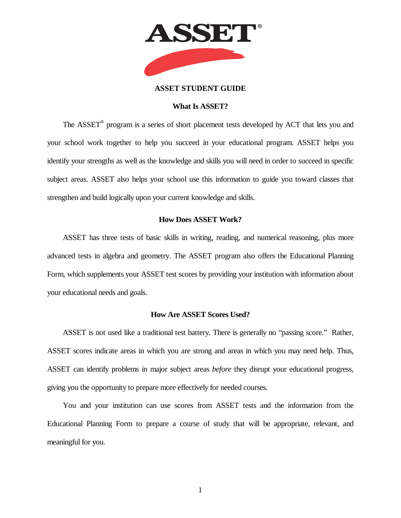

#### **ASSET STUDENT GUIDE**

#### **What Is ASSET?**

The ASSET<sup>®</sup> program is a series of short placement tests developed by ACT that lets you and your school work together to help you succeed in your educational program. ASSET helps you identify your strengths as well as the knowledge and skills you will need in order to succeed in specific subject areas. ASSET also helps your school use this information to guide you toward classes that strengthen and build logically upon your current knowledge and skills.

#### **How Does ASSET Work?**

 ASSET has three tests of basic skills in writing, reading, and numerical reasoning, plus more advanced tests in algebra and geometry. The ASSET program also offers the Educational Planning Form, which supplements your ASSET test scores by providing your institution with information about your educational needs and goals.

#### **How Are ASSET Scores Used?**

 ASSET is not used like a traditional test battery. There is generally no "passing score." Rather, ASSET scores indicate areas in which you are strong and areas in which you may need help. Thus, ASSET can identify problems in major subject areas *before* they disrupt your educational progress, giving you the opportunity to prepare more effectively for needed courses.

 You and your institution can use scores from ASSET tests and the information from the Educational Planning Form to prepare a course of study that will be appropriate, relevant, and meaningful for you.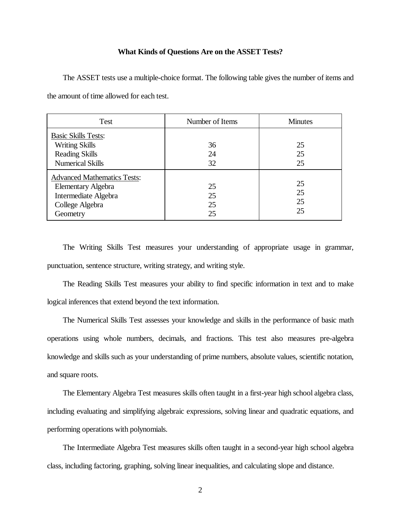#### **What Kinds of Questions Are on the ASSET Tests?**

|                                           | The ASSET tests use a multiple-choice format. The following table gives the number of items and |
|-------------------------------------------|-------------------------------------------------------------------------------------------------|
| the amount of time allowed for each test. |                                                                                                 |

| <b>Test</b>                                                                                                            | Number of Items      | <b>Minutes</b>       |
|------------------------------------------------------------------------------------------------------------------------|----------------------|----------------------|
| <b>Basic Skills Tests:</b><br><b>Writing Skills</b><br><b>Reading Skills</b><br><b>Numerical Skills</b>                | 36<br>24<br>32       | 25<br>25<br>25       |
| <b>Advanced Mathematics Tests:</b><br><b>Elementary Algebra</b><br>Intermediate Algebra<br>College Algebra<br>Geometry | 25<br>25<br>25<br>25 | 25<br>25<br>25<br>25 |

 The Writing Skills Test measures your understanding of appropriate usage in grammar, punctuation, sentence structure, writing strategy, and writing style.

 The Reading Skills Test measures your ability to find specific information in text and to make logical inferences that extend beyond the text information.

 The Numerical Skills Test assesses your knowledge and skills in the performance of basic math operations using whole numbers, decimals, and fractions. This test also measures pre-algebra knowledge and skills such as your understanding of prime numbers, absolute values, scientific notation, and square roots.

 The Elementary Algebra Test measures skills often taught in a first-year high school algebra class, including evaluating and simplifying algebraic expressions, solving linear and quadratic equations, and performing operations with polynomials.

 The Intermediate Algebra Test measures skills often taught in a second-year high school algebra class, including factoring, graphing, solving linear inequalities, and calculating slope and distance.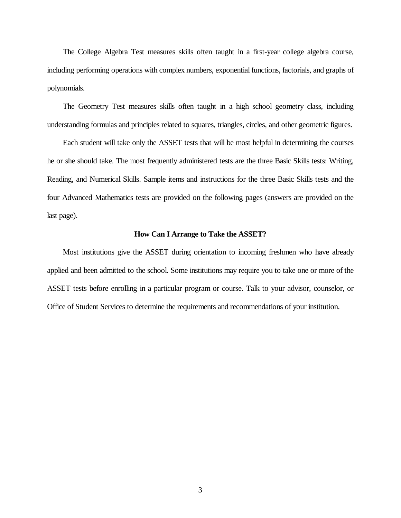The College Algebra Test measures skills often taught in a first-year college algebra course, including performing operations with complex numbers, exponential functions, factorials, and graphs of polynomials.

 The Geometry Test measures skills often taught in a high school geometry class, including understanding formulas and principles related to squares, triangles, circles, and other geometric figures.

 Each student will take only the ASSET tests that will be most helpful in determining the courses he or she should take. The most frequently administered tests are the three Basic Skills tests: Writing, Reading, and Numerical Skills. Sample items and instructions for the three Basic Skills tests and the four Advanced Mathematics tests are provided on the following pages (answers are provided on the last page).

#### **How Can I Arrange to Take the ASSET?**

 Most institutions give the ASSET during orientation to incoming freshmen who have already applied and been admitted to the school. Some institutions may require you to take one or more of the ASSET tests before enrolling in a particular program or course. Talk to your advisor, counselor, or Office of Student Services to determine the requirements and recommendations of your institution.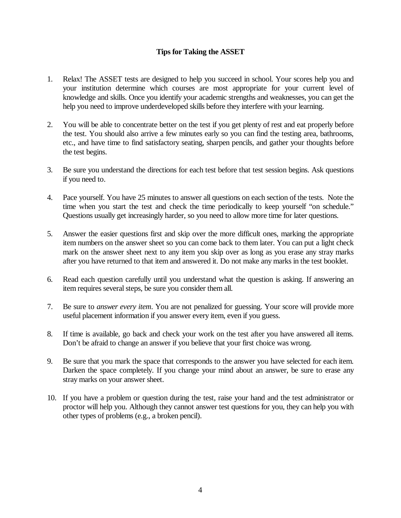## **Tips for Taking the ASSET**

- 1. Relax! The ASSET tests are designed to help you succeed in school. Your scores help you and your institution determine which courses are most appropriate for your current level of knowledge and skills. Once you identify your academic strengths and weaknesses, you can get the help you need to improve underdeveloped skills before they interfere with your learning.
- 2. You will be able to concentrate better on the test if you get plenty of rest and eat properly before the test. You should also arrive a few minutes early so you can find the testing area, bathrooms, etc., and have time to find satisfactory seating, sharpen pencils, and gather your thoughts before the test begins.
- 3. Be sure you understand the directions for each test before that test session begins. Ask questions if you need to.
- 4. Pace yourself. You have 25 minutes to answer all questions on each section of the tests. Note the time when you start the test and check the time periodically to keep yourself "on schedule." Questions usually get increasingly harder, so you need to allow more time for later questions.
- 5. Answer the easier questions first and skip over the more difficult ones, marking the appropriate item numbers on the answer sheet so you can come back to them later. You can put a light check mark on the answer sheet next to any item you skip over as long as you erase any stray marks after you have returned to that item and answered it. Do not make any marks in the test booklet.
- 6. Read each question carefully until you understand what the question is asking. If answering an item requires several steps, be sure you consider them all.
- 7. Be sure to *answer every item*. You are not penalized for guessing. Your score will provide more useful placement information if you answer every item, even if you guess.
- 8. If time is available, go back and check your work on the test after you have answered all items. Don't be afraid to change an answer if you believe that your first choice was wrong.
- 9. Be sure that you mark the space that corresponds to the answer you have selected for each item. Darken the space completely. If you change your mind about an answer, be sure to erase any stray marks on your answer sheet.
- 10. If you have a problem or question during the test, raise your hand and the test administrator or proctor will help you. Although they cannot answer test questions for you, they can help you with other types of problems (e.g., a broken pencil).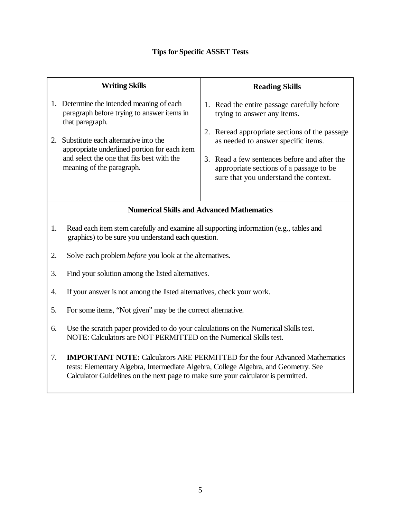## **Tips for Specific ASSET Tests**

|                                                  | <b>Writing Skills</b>                                                                                                                                                                                                                                                            | <b>Reading Skills</b>                                                                                                                                                                                                                                                                                  |  |  |
|--------------------------------------------------|----------------------------------------------------------------------------------------------------------------------------------------------------------------------------------------------------------------------------------------------------------------------------------|--------------------------------------------------------------------------------------------------------------------------------------------------------------------------------------------------------------------------------------------------------------------------------------------------------|--|--|
|                                                  | 1. Determine the intended meaning of each<br>paragraph before trying to answer items in<br>that paragraph.<br>2. Substitute each alternative into the<br>appropriate underlined portion for each item<br>and select the one that fits best with the<br>meaning of the paragraph. | 1. Read the entire passage carefully before<br>trying to answer any items.<br>2. Reread appropriate sections of the passage<br>as needed to answer specific items.<br>3. Read a few sentences before and after the<br>appropriate sections of a passage to be<br>sure that you understand the context. |  |  |
| <b>Numerical Skills and Advanced Mathematics</b> |                                                                                                                                                                                                                                                                                  |                                                                                                                                                                                                                                                                                                        |  |  |
| 1.                                               | Read each item stem carefully and examine all supporting information (e.g., tables and<br>graphics) to be sure you understand each question.                                                                                                                                     |                                                                                                                                                                                                                                                                                                        |  |  |
| 2.                                               | Solve each problem <i>before</i> you look at the alternatives.                                                                                                                                                                                                                   |                                                                                                                                                                                                                                                                                                        |  |  |
| 3.                                               | Find your solution among the listed alternatives.                                                                                                                                                                                                                                |                                                                                                                                                                                                                                                                                                        |  |  |
| 4.                                               | If your answer is not among the listed alternatives, check your work.                                                                                                                                                                                                            |                                                                                                                                                                                                                                                                                                        |  |  |
| 5.                                               | For some items, "Not given" may be the correct alternative.                                                                                                                                                                                                                      |                                                                                                                                                                                                                                                                                                        |  |  |

- 
- 6. Use the scratch paper provided to do your calculations on the Numerical Skills test. NOTE: Calculators are NOT PERMITTED on the Numerical Skills test.
- 7. **IMPORTANT NOTE:** Calculators ARE PERMITTED for the four Advanced Mathematics tests: Elementary Algebra, Intermediate Algebra, College Algebra, and Geometry. See Calculator Guidelines on the next page to make sure your calculator is permitted.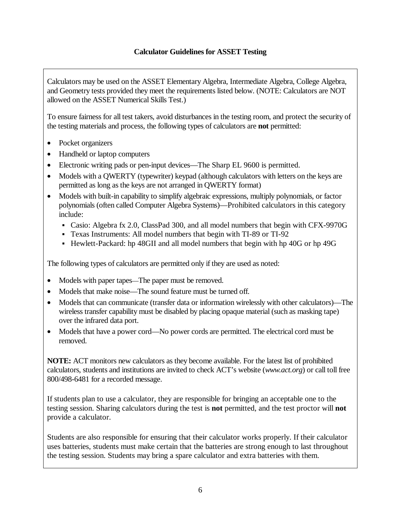Calculators may be used on the ASSET Elementary Algebra, Intermediate Algebra, College Algebra, and Geometry tests provided they meet the requirements listed below. (NOTE: Calculators are NOT allowed on the ASSET Numerical Skills Test.)

To ensure fairness for all test takers, avoid disturbances in the testing room, and protect the security of the testing materials and process, the following types of calculators are **not** permitted:

- Pocket organizers
- Handheld or laptop computers
- Electronic writing pads or pen-input devices—The Sharp EL 9600 is permitted.
- Models with a QWERTY (typewriter) keypad (although calculators with letters on the keys are permitted as long as the keys are not arranged in QWERTY format)
- Models with built-in capability to simplify algebraic expressions, multiply polynomials, or factor polynomials (often called Computer Algebra Systems)—Prohibited calculators in this category include:
	- Casio: Algebra fx 2.0, ClassPad 300, and all model numbers that begin with CFX-9970G
	- Texas Instruments: All model numbers that begin with TI-89 or TI-92
	- Hewlett-Packard: hp 48GII and all model numbers that begin with hp 40G or hp 49G

The following types of calculators are permitted only if they are used as noted:

- Models with paper tapes—The paper must be removed.
- Models that make noise—The sound feature must be turned off.
- Models that can communicate (transfer data or information wirelessly with other calculators)—The wireless transfer capability must be disabled by placing opaque material (such as masking tape) over the infrared data port.
- Models that have a power cord—No power cords are permitted. The electrical cord must be removed.

**NOTE:** ACT monitors new calculators as they become available. For the latest list of prohibited calculators, students and institutions are invited to check ACT's website (*www.act.org*) or call toll free 800/498-6481 for a recorded message.

If students plan to use a calculator, they are responsible for bringing an acceptable one to the testing session. Sharing calculators during the test is **not** permitted, and the test proctor will **not** provide a calculator.

Students are also responsible for ensuring that their calculator works properly. If their calculator uses batteries, students must make certain that the batteries are strong enough to last throughout the testing session. Students may bring a spare calculator and extra batteries with them.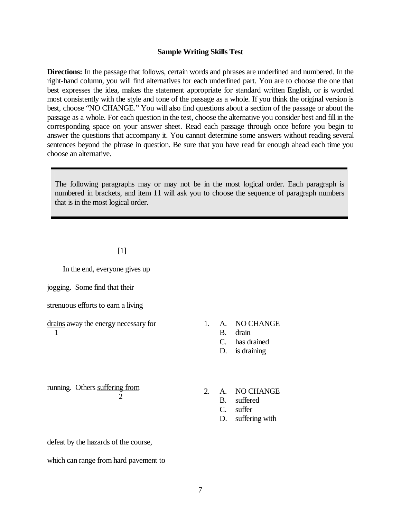#### **Sample Writing Skills Test**

**Directions:** In the passage that follows, certain words and phrases are underlined and numbered. In the right-hand column, you will find alternatives for each underlined part. You are to choose the one that best expresses the idea, makes the statement appropriate for standard written English, or is worded most consistently with the style and tone of the passage as a whole. If you think the original version is best, choose "NO CHANGE." You will also find questions about a section of the passage or about the passage as a whole. For each question in the test, choose the alternative you consider best and fill in the corresponding space on your answer sheet. Read each passage through once before you begin to answer the questions that accompany it. You cannot determine some answers without reading several sentences beyond the phrase in question. Be sure that you have read far enough ahead each time you choose an alternative.

The following paragraphs may or may not be in the most logical order. Each paragraph is numbered in brackets, and item 11 will ask you to choose the sequence of paragraph numbers that is in the most logical order.

[1]

In the end, everyone gives up

jogging. Some find that their

strenuous efforts to earn a living

drains away the energy necessary for 1

1. A. NO CHANGE

- B. drain
- C. has drained
- D. is draining

running. Others suffering from 2

2. A. NO CHANGE

- B. suffered
- C. suffer
- D. suffering with

defeat by the hazards of the course,

which can range from hard pavement to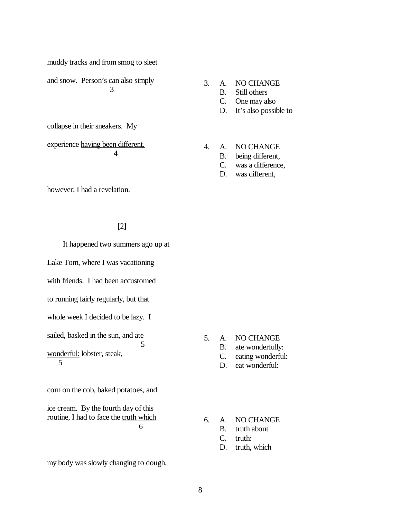muddy tracks and from smog to sleet

and snow. Person's can also simply 3

collapse in their sneakers. My

experience having been different, 4

however; I had a revelation.

[2]

 It happened two summers ago up at Lake Tom, where I was vacationing with friends. I had been accustomed to running fairly regularly, but that whole week I decided to be lazy. I sailed, basked in the sun, and ate  $\sim$  5 wonderful: lobster, steak, 5

corn on the cob, baked potatoes, and

ice cream. By the fourth day of this routine, I had to face the truth which  $\sim$  6

my body was slowly changing to dough.

- 3. A. NO CHANGE
	- B. Still others
	- C. One may also
	- D. It's also possible to
- 4. A. NO CHANGE
	- B. being different,
	- C. was a difference,
	- D. was different.

- 5. A. NO CHANGE
	- B. ate wonderfully:
	- C. eating wonderful:
	- D. eat wonderful:
- 6. A. NO CHANGE
	- B. truth about
	- C. truth:
	- D. truth, which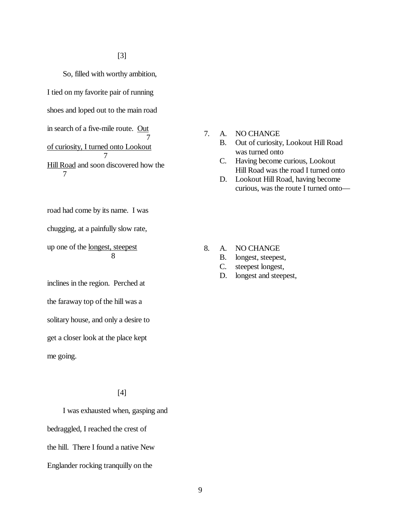[3]

 So, filled with worthy ambition, I tied on my favorite pair of running shoes and loped out to the main road in search of a five-mile route. Out 7 of curiosity, I turned onto Lookout 7 Hill Road and soon discovered how the 7

road had come by its name. I was chugging, at a painfully slow rate, up one of the longest, steepest 8

inclines in the region. Perched at the faraway top of the hill was a solitary house, and only a desire to get a closer look at the place kept me going.

#### [4]

 I was exhausted when, gasping and bedraggled, I reached the crest of the hill. There I found a native New Englander rocking tranquilly on the

7. A. NO CHANGE

- B. Out of curiosity, Lookout Hill Road was turned onto
- C. Having become curious, Lookout Hill Road was the road I turned onto
- D. Lookout Hill Road, having become curious, was the route I turned onto—

### 8. A. NO CHANGE

- B. longest, steepest,
- C. steepest longest,
- D. longest and steepest,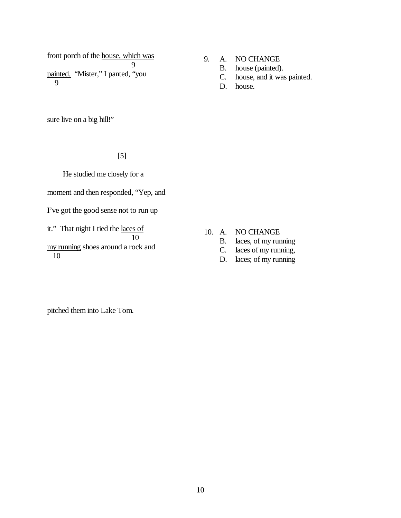front porch of the house, which was 9 painted. "Mister," I panted, "you 9

- 9. A. NO CHANGE
	- B. house (painted).
	- C. house, and it was painted.
	- D. house.

sure live on a big hill!"

[5]

He studied me closely for a

moment and then responded, "Yep, and

I've got the good sense not to run up

it." That night I tied the laces of 10 my running shoes around a rock and 10

10. A. NO CHANGE

- B. laces, of my running
- C. laces of my running,
- D. laces; of my running

pitched them into Lake Tom.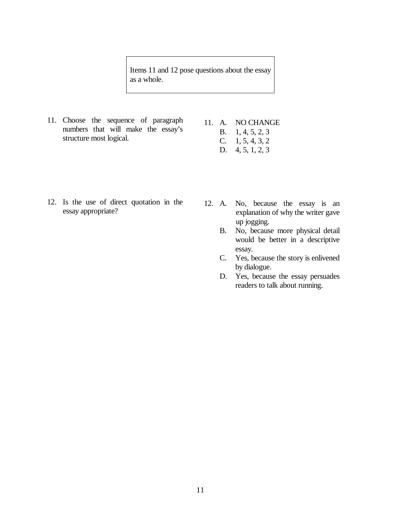Items 11 and 12 pose questions about the essay as a whole.

- 11. Choose the sequence of paragraph numbers that will make the essay's structure most logical.
- 11. A. NO CHANGE B. 1, 4, 5, 2, 3 C. 1, 5, 4, 3, 2
	- D. 4, 5, 1, 2, 3

- 12. Is the use of direct quotation in the essay appropriate?
- 12. A. No, because the essay is an explanation of why the writer gave up jogging.
	- B. No, because more physical detail would be better in a descriptive essay.
	- C. Yes, because the story is enlivened by dialogue.
	- D. Yes, because the essay persuades readers to talk about running.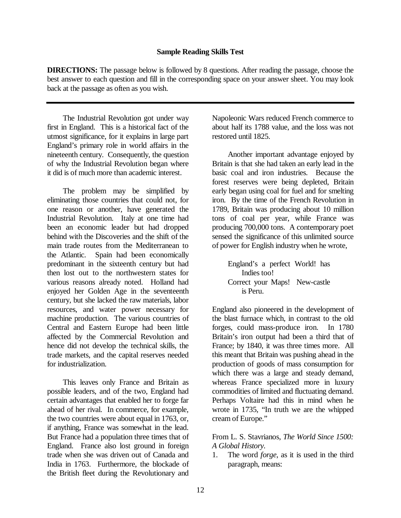**DIRECTIONS:** The passage below is followed by 8 questions. After reading the passage, choose the best answer to each question and fill in the corresponding space on your answer sheet. You may look back at the passage as often as you wish.

 The Industrial Revolution got under way first in England. This is a historical fact of the utmost significance, for it explains in large part England's primary role in world affairs in the nineteenth century. Consequently, the question of why the Industrial Revolution began where it did is of much more than academic interest.

 The problem may be simplified by eliminating those countries that could not, for one reason or another, have generated the Industrial Revolution. Italy at one time had been an economic leader but had dropped behind with the Discoveries and the shift of the main trade routes from the Mediterranean to the Atlantic. Spain had been economically predominant in the sixteenth century but had then lost out to the northwestern states for various reasons already noted. Holland had enjoyed her Golden Age in the seventeenth century, but she lacked the raw materials, labor resources, and water power necessary for machine production. The various countries of Central and Eastern Europe had been little affected by the Commercial Revolution and hence did not develop the technical skills, the trade markets, and the capital reserves needed for industrialization.

 This leaves only France and Britain as possible leaders, and of the two, England had certain advantages that enabled her to forge far ahead of her rival. In commerce, for example, the two countries were about equal in 1763, or, if anything, France was somewhat in the lead. But France had a population three times that of England. France also lost ground in foreign trade when she was driven out of Canada and India in 1763. Furthermore, the blockade of the British fleet during the Revolutionary and

Napoleonic Wars reduced French commerce to about half its 1788 value, and the loss was not restored until 1825.

 Another important advantage enjoyed by Britain is that she had taken an early lead in the basic coal and iron industries. Because the forest reserves were being depleted, Britain early began using coal for fuel and for smelting iron. By the time of the French Revolution in 1789, Britain was producing about 10 million tons of coal per year, while France was producing 700,000 tons. A contemporary poet sensed the significance of this unlimited source of power for English industry when he wrote,

> England's a perfect World! has Indies too! Correct your Maps! New-castle is Peru.

England also pioneered in the development of the blast furnace which, in contrast to the old forges, could mass-produce iron. In 1780 Britain's iron output had been a third that of France; by 1840, it was three times more. All this meant that Britain was pushing ahead in the production of goods of mass consumption for which there was a large and steady demand, whereas France specialized more in luxury commodities of limited and fluctuating demand. Perhaps Voltaire had this in mind when he wrote in 1735, "In truth we are the whipped cream of Europe."

From L. S. Stavrianos, *The World Since 1500: A Global History.* 

1. The word *forge*, as it is used in the third paragraph, means: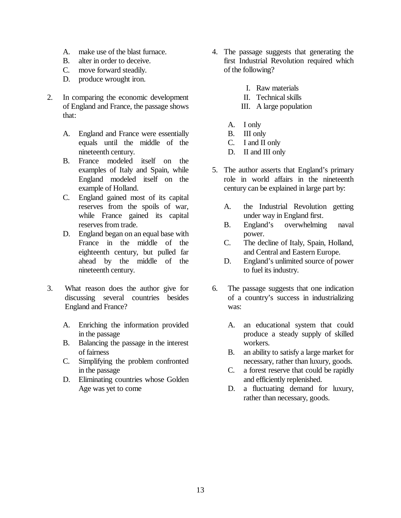- A. make use of the blast furnace.
- B. alter in order to deceive.
- C. move forward steadily.
- D. produce wrought iron.
- 2. In comparing the economic development of England and France, the passage shows that:
	- A. England and France were essentially equals until the middle of the nineteenth century.
	- B. France modeled itself on the examples of Italy and Spain, while England modeled itself on the example of Holland.
	- C. England gained most of its capital reserves from the spoils of war, while France gained its capital reserves from trade.
	- D. England began on an equal base with France in the middle of the eighteenth century, but pulled far ahead by the middle of the nineteenth century.
- 3. What reason does the author give for discussing several countries besides England and France?
	- A. Enriching the information provided in the passage
	- B. Balancing the passage in the interest of fairness
	- C. Simplifying the problem confronted in the passage
	- D. Eliminating countries whose Golden Age was yet to come
- 4. The passage suggests that generating the first Industrial Revolution required which of the following?
	- I. Raw materials
	- II. Technical skills
	- III. A large population
	- A. I only
	- B. III only
	- C. I and II only
	- D. II and III only
- 5. The author asserts that England's primary role in world affairs in the nineteenth century can be explained in large part by:
	- A. the Industrial Revolution getting under way in England first.
	- B. England's overwhelming naval power.
	- C. The decline of Italy, Spain, Holland, and Central and Eastern Europe.
	- D. England's unlimited source of power to fuel its industry.
- 6. The passage suggests that one indication of a country's success in industrializing was:
	- A. an educational system that could produce a steady supply of skilled workers.
	- B. an ability to satisfy a large market for necessary, rather than luxury, goods.
	- C. a forest reserve that could be rapidly and efficiently replenished.
	- D. a fluctuating demand for luxury, rather than necessary, goods.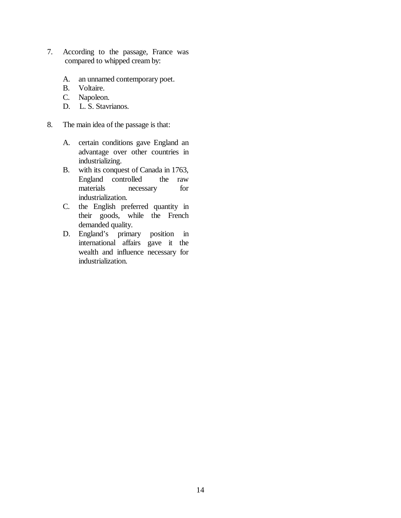- 7. According to the passage, France was compared to whipped cream by:
	- A. an unnamed contemporary poet.
	- B. Voltaire.
	- C. Napoleon.
	- D. L. S. Stavrianos.
- 8. The main idea of the passage is that:
	- A. certain conditions gave England an advantage over other countries in industrializing.
	- B. with its conquest of Canada in 1763, England controlled the raw materials necessary for industrialization.
	- C. the English preferred quantity in their goods, while the French demanded quality.
	- D. England's primary position in international affairs gave it the wealth and influence necessary for industrialization.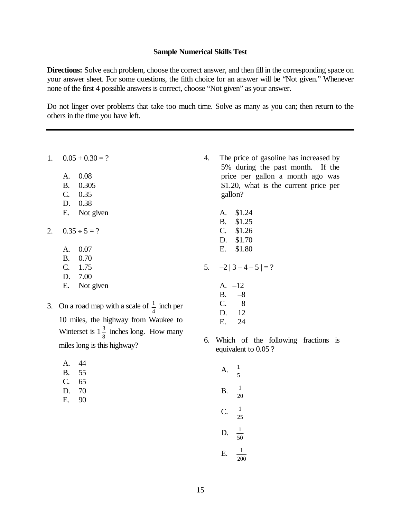#### **Sample Numerical Skills Test**

**Directions:** Solve each problem, choose the correct answer, and then fill in the corresponding space on your answer sheet. For some questions, the fifth choice for an answer will be "Not given." Whenever none of the first 4 possible answers is correct, choose "Not given" as your answer.

Do not linger over problems that take too much time. Solve as many as you can; then return to the others in the time you have left.

- 1.  $0.05 + 0.30 = ?$ 
	- A. 0.08
	- B. 0.305
	- C. 0.35
	- D. 0.38
	- E. Not given
- 2.  $0.35 \div 5 = ?$ 
	- A. 0.07
	- B. 0.70
	- C. 1.75
	- D. 7.00
	- E. Not given
- 3. On a road map with a scale of  $\frac{1}{4}$  inch per 10 miles, the highway from Waukee to Winterset is  $1\frac{3}{8}$  inches long. How many miles long is this highway?
	- A. 44
	- B. 55
	- C. 65
	- D. 70
	- E. 90
- 4. The price of gasoline has increased by 5% during the past month. If the price per gallon a month ago was \$1.20, what is the current price per gallon?
	- A. \$1.24
	- B. \$1.25
	- C. \$1.26
	- D. \$1.70
	- E. \$1.80
- 5.  $-2 | 3 4 5 | = ?$ 
	- A. –12 B. –8 C. 8 D. 12 E. 24

1

1

1

1

200 1

A.  $\frac{1}{5}$ 

**B.**  $\frac{1}{20}$ 

C.  $\frac{1}{25}$ 

D.  $\frac{1}{50}$ 

E.

6. Which of the following fractions is equivalent to 0.05 ?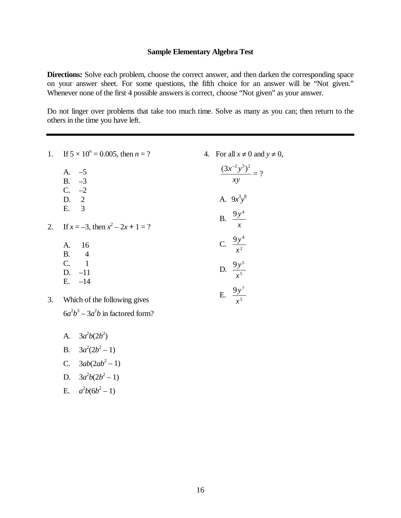### **Sample Elementary Algebra Test**

**Directions:** Solve each problem, choose the correct answer, and then darken the corresponding space on your answer sheet. For some questions, the fifth choice for an answer will be "Not given." Whenever none of the first 4 possible answers is correct, choose "Not given" as your answer.

Do not linger over problems that take too much time. Solve as many as you can; then return to the others in the time you have left.

| 1. | If $5 \times 10^n = 0.005$ , then $n = ?$     | 4. For all $x \neq 0$ and $y \neq 0$ , |
|----|-----------------------------------------------|----------------------------------------|
|    | $A. -5$<br>B. $-3$                            | $\frac{(3x^{-2}y^3)^2}{xy} = ?$        |
|    | $C. -2$<br>D. 2                               |                                        |
| 2. | E. 3<br>If $x = -3$ , then $x^2 - 2x + 1 = ?$ | A. $9x^3y^8$<br>B. $\frac{9y^4}{x}$    |
|    | A. 16<br><b>B.</b> 4                          | C. $\frac{9y^4}{x^2}$                  |
|    | C. 1<br>$D. -11$<br>$E. -14$                  | D. $\frac{9y^5}{x^5}$                  |
| 3. | Which of the following gives                  | E. $\frac{9y^7}{x^5}$                  |
|    | $6a^2b^3 - 3a^2b$ in factored form?           |                                        |

- A.  $3a^2b(2b^2)$
- **B.**  $3a^2(2b^2-1)$
- C.  $3ab(2ab^2-1)$
- D.  $3a^2b(2b^2-1)$
- E.  $a^2b(6b^2-1)$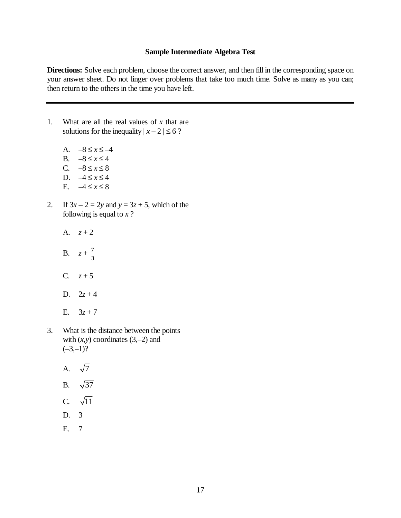#### **Sample Intermediate Algebra Test**

**Directions:** Solve each problem, choose the correct answer, and then fill in the corresponding space on your answer sheet. Do not linger over problems that take too much time. Solve as many as you can; then return to the others in the time you have left.

- 1. What are all the real values of *x* that are solutions for the inequality  $|x-2| \leq 6$ ?
	- A.  $-8 \le x \le -4$
	- B.  $-8 ≤ x ≤ 4$
	- C.  $-8 \le x \le 8$
	- D.  $-4 \le x \le 4$
	- E.  $-4 \le x \le 8$
- 2. If  $3x 2 = 2y$  and  $y = 3z + 5$ , which of the following is equal to *x* ?
	- A.  $z + 2$
- **B.**  $z + \frac{7}{3}$ 7
	- C.  $z + 5$
	- D.  $2z + 4$
	- E.  $3z + 7$
- 3. What is the distance between the points with  $(x,y)$  coordinates  $(3,-2)$  and  $(-3,-1)?$ 
	- A.  $\sqrt{7}$
	- B.  $\sqrt{37}$
	- C.  $\sqrt{11}$
	- D. 3
	- E. 7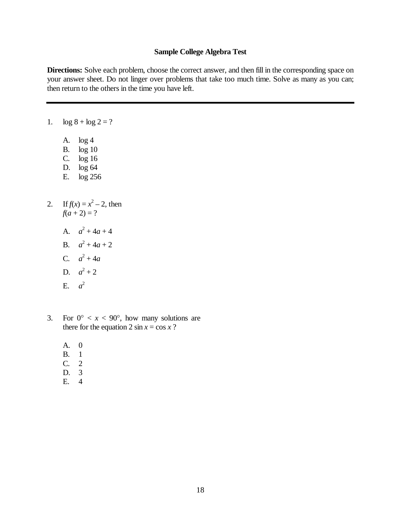## **Sample College Algebra Test**

**Directions:** Solve each problem, choose the correct answer, and then fill in the corresponding space on your answer sheet. Do not linger over problems that take too much time. Solve as many as you can; then return to the others in the time you have left.

- 1.  $\log 8 + \log 2 = ?$ 
	- A. log 4
	- B. log 10
	- C. log 16
	- D. log 64
	- E. log 256
- 2. If  $f(x) = x^2 2$ , then  $f(a + 2) = ?$
- A.  $a^2 + 4a + 4$
- **B.**  $a^2 + 4a + 2$
- C.  $a^2 + 4a$
- D.  $a^2 + 2$
- E.  $a^2$
- 3. For  $0^{\circ} < x < 90^{\circ}$ , how many solutions are there for the equation 2  $\sin x = \cos x$ ?
	- A. 0
	- B. 1
	- C. 2
	- D. 3
	- E. 4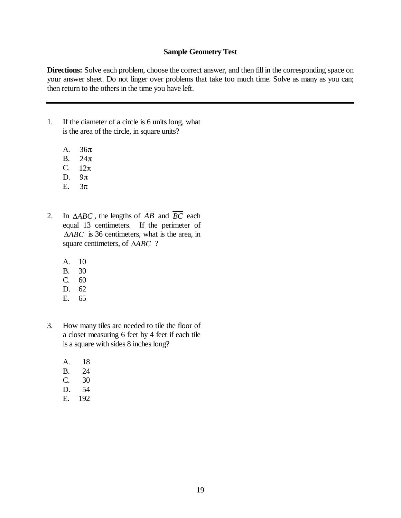#### **Sample Geometry Test**

**Directions:** Solve each problem, choose the correct answer, and then fill in the corresponding space on your answer sheet. Do not linger over problems that take too much time. Solve as many as you can; then return to the others in the time you have left.

- 1. If the diameter of a circle is 6 units long, what is the area of the circle, in square units?
	- A. 36π
	- B.  $24\pi$
	- C.  $12\pi$
	- D. 9π
	- E. 3π
- 2. In  $\triangle ABC$ , the lengths of  $\overline{AB}$  and  $\overline{BC}$  each equal 13 centimeters. If the perimeter of Δ*ABC* is 36 centimeters, what is the area, in square centimeters, of Δ*ABC* ?
	- A. 10
	- B. 30
	- C. 60
	- D. 62
	- E. 65
- 3. How many tiles are needed to tile the floor of a closet measuring 6 feet by 4 feet if each tile is a square with sides 8 inches long?
	- A. 18
	- B. 24
	- C. 30
	- D. 54
	- E. 192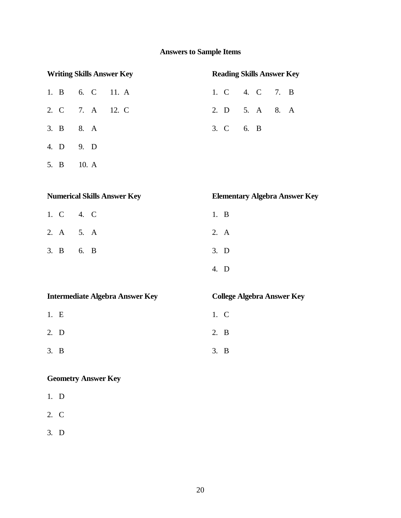## **Answers to Sample Items**

| <b>Writing Skills Answer Key</b> |                 |  | <b>Reading Skills Answer Key</b> |                |  |
|----------------------------------|-----------------|--|----------------------------------|----------------|--|
|                                  | 1. B 6. C 11. A |  |                                  | 1. C 4. C 7. B |  |
|                                  | 2. C 7. A 12. C |  |                                  | 2. D 5. A 8. A |  |
|                                  | 3. B 8. A       |  | 3. C 6. B                        |                |  |
|                                  | 4. D 9. D       |  |                                  |                |  |
| 5. B                             | 10. A           |  |                                  |                |  |

# **Numerical Skills Answer Key**

1. C 4. C 2. A 5. A 3. B 6. B

## **Elementary Algebra Answer Key**

**College Algebra Answer Key**

- 1. B
- 2. A
- 3. D
- 4. D

3. B

## **Intermediate Algebra Answer Key**

- 1. E 2. D 1. C 2. B
- 3. B

## **Geometry Answer Key**

- 1. D
- 2. C
- 3. D